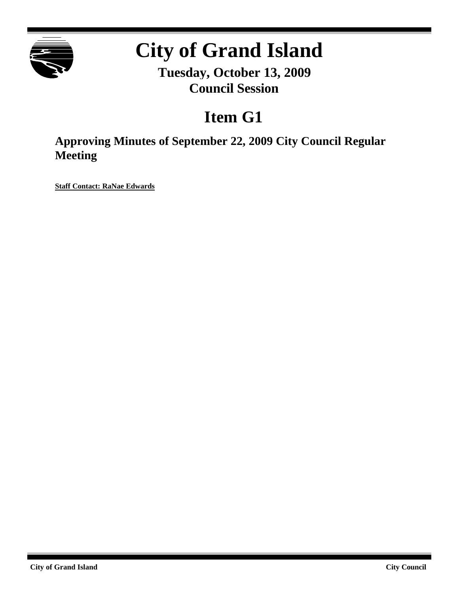

# **City of Grand Island**

**Tuesday, October 13, 2009 Council Session**

# **Item G1**

**Approving Minutes of September 22, 2009 City Council Regular Meeting**

**Staff Contact: RaNae Edwards**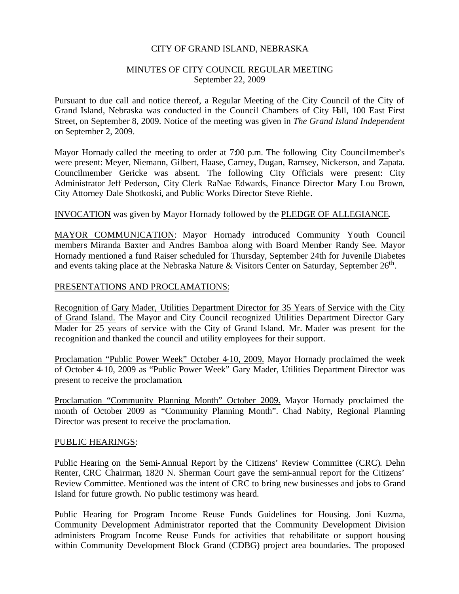#### CITY OF GRAND ISLAND, NEBRASKA

#### MINUTES OF CITY COUNCIL REGULAR MEETING September 22, 2009

Pursuant to due call and notice thereof, a Regular Meeting of the City Council of the City of Grand Island, Nebraska was conducted in the Council Chambers of City Hall, 100 East First Street, on September 8, 2009. Notice of the meeting was given in *The Grand Island Independent* on September 2, 2009.

Mayor Hornady called the meeting to order at 7:00 p.m. The following City Councilmember's were present: Meyer, Niemann, Gilbert, Haase, Carney, Dugan, Ramsey, Nickerson, and Zapata. Councilmember Gericke was absent. The following City Officials were present: City Administrator Jeff Pederson, City Clerk RaNae Edwards, Finance Director Mary Lou Brown, City Attorney Dale Shotkoski, and Public Works Director Steve Riehle.

#### INVOCATION was given by Mayor Hornady followed by the PLEDGE OF ALLEGIANCE.

MAYOR COMMUNICATION: Mayor Hornady introduced Community Youth Council members Miranda Baxter and Andres Bamboa along with Board Member Randy See. Mayor Hornady mentioned a fund Raiser scheduled for Thursday, September 24th for Juvenile Diabetes and events taking place at the Nebraska Nature & Visitors Center on Saturday, September  $26^{\text{th}}$ .

# PRESENTATIONS AND PROCLAMATIONS:

Recognition of Gary Mader, Utilities Department Director for 35 Years of Service with the City of Grand Island. The Mayor and City Council recognized Utilities Department Director Gary Mader for 25 years of service with the City of Grand Island. Mr. Mader was present for the recognition and thanked the council and utility employees for their support.

Proclamation "Public Power Week" October 4-10, 2009. Mayor Hornady proclaimed the week of October 4-10, 2009 as "Public Power Week" Gary Mader, Utilities Department Director was present to receive the proclamation.

Proclamation "Community Planning Month" October 2009. Mayor Hornady proclaimed the month of October 2009 as "Community Planning Month". Chad Nabity, Regional Planning Director was present to receive the proclama tion.

#### PUBLIC HEARINGS:

Public Hearing on the Semi-Annual Report by the Citizens' Review Committee (CRC). Dehn Renter, CRC Chairman, 1820 N. Sherman Court gave the semi-annual report for the Citizens' Review Committee. Mentioned was the intent of CRC to bring new businesses and jobs to Grand Island for future growth. No public testimony was heard.

Public Hearing for Program Income Reuse Funds Guidelines for Housing. Joni Kuzma, Community Development Administrator reported that the Community Development Division administers Program Income Reuse Funds for activities that rehabilitate or support housing within Community Development Block Grand (CDBG) project area boundaries. The proposed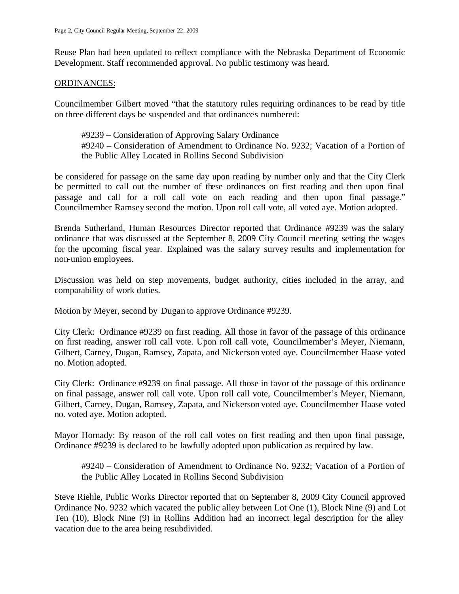Reuse Plan had been updated to reflect compliance with the Nebraska Department of Economic Development. Staff recommended approval. No public testimony was heard.

#### ORDINANCES:

Councilmember Gilbert moved "that the statutory rules requiring ordinances to be read by title on three different days be suspended and that ordinances numbered:

#9239 – Consideration of Approving Salary Ordinance #9240 – Consideration of Amendment to Ordinance No. 9232; Vacation of a Portion of the Public Alley Located in Rollins Second Subdivision

be considered for passage on the same day upon reading by number only and that the City Clerk be permitted to call out the number of these ordinances on first reading and then upon final passage and call for a roll call vote on each reading and then upon final passage." Councilmember Ramsey second the motion. Upon roll call vote, all voted aye. Motion adopted.

Brenda Sutherland, Human Resources Director reported that Ordinance #9239 was the salary ordinance that was discussed at the September 8, 2009 City Council meeting setting the wages for the upcoming fiscal year. Explained was the salary survey results and implementation for non-union employees.

Discussion was held on step movements, budget authority, cities included in the array, and comparability of work duties.

Motion by Meyer, second by Dugan to approve Ordinance #9239.

City Clerk: Ordinance #9239 on first reading. All those in favor of the passage of this ordinance on first reading, answer roll call vote. Upon roll call vote, Councilmember's Meyer, Niemann, Gilbert, Carney, Dugan, Ramsey, Zapata, and Nickerson voted aye. Councilmember Haase voted no. Motion adopted.

City Clerk: Ordinance #9239 on final passage. All those in favor of the passage of this ordinance on final passage, answer roll call vote. Upon roll call vote, Councilmember's Meyer, Niemann, Gilbert, Carney, Dugan, Ramsey, Zapata, and Nickerson voted aye. Councilmember Haase voted no. voted aye. Motion adopted.

Mayor Hornady: By reason of the roll call votes on first reading and then upon final passage, Ordinance #9239 is declared to be lawfully adopted upon publication as required by law.

#9240 – Consideration of Amendment to Ordinance No. 9232; Vacation of a Portion of the Public Alley Located in Rollins Second Subdivision

Steve Riehle, Public Works Director reported that on September 8, 2009 City Council approved Ordinance No. 9232 which vacated the public alley between Lot One (1), Block Nine (9) and Lot Ten (10), Block Nine (9) in Rollins Addition had an incorrect legal description for the alley vacation due to the area being resubdivided.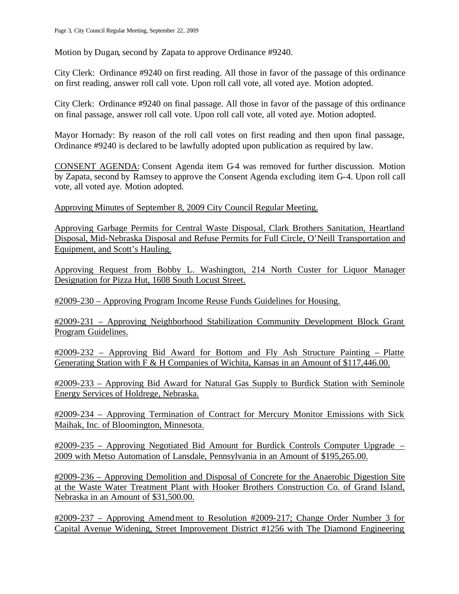Motion by Dugan, second by Zapata to approve Ordinance #9240.

City Clerk: Ordinance #9240 on first reading. All those in favor of the passage of this ordinance on first reading, answer roll call vote. Upon roll call vote, all voted aye. Motion adopted.

City Clerk: Ordinance #9240 on final passage. All those in favor of the passage of this ordinance on final passage, answer roll call vote. Upon roll call vote, all voted aye. Motion adopted.

Mayor Hornady: By reason of the roll call votes on first reading and then upon final passage, Ordinance #9240 is declared to be lawfully adopted upon publication as required by law.

CONSENT AGENDA: Consent Agenda item G-4 was removed for further discussion. Motion by Zapata, second by Ramsey to approve the Consent Agenda excluding item G-4. Upon roll call vote, all voted aye. Motion adopted.

Approving Minutes of September 8, 2009 City Council Regular Meeting.

Approving Garbage Permits for Central Waste Disposal, Clark Brothers Sanitation, Heartland Disposal, Mid-Nebraska Disposal and Refuse Permits for Full Circle, O'Neill Transportation and Equipment, and Scott's Hauling.

Approving Request from Bobby L. Washington, 214 North Custer for Liquor Manager Designation for Pizza Hut, 1608 South Locust Street.

#2009-230 – Approving Program Income Reuse Funds Guidelines for Housing.

#2009-231 – Approving Neighborhood Stabilization Community Development Block Grant Program Guidelines.

#2009-232 – Approving Bid Award for Bottom and Fly Ash Structure Painting – Platte Generating Station with F & H Companies of Wichita, Kansas in an Amount of \$117,446.00.

#2009-233 – Approving Bid Award for Natural Gas Supply to Burdick Station with Seminole Energy Services of Holdrege, Nebraska.

#2009-234 – Approving Termination of Contract for Mercury Monitor Emissions with Sick Maihak, Inc. of Bloomington, Minnesota.

#2009-235 – Approving Negotiated Bid Amount for Burdick Controls Computer Upgrade – 2009 with Metso Automation of Lansdale, Pennsylvania in an Amount of \$195,265.00.

#2009-236 – Approving Demolition and Disposal of Concrete for the Anaerobic Digestion Site at the Waste Water Treatment Plant with Hooker Brothers Construction Co. of Grand Island, Nebraska in an Amount of \$31,500.00.

#2009-237 – Approving Amendment to Resolution #2009-217; Change Order Number 3 for Capital Avenue Widening, Street Improvement District #1256 with The Diamond Engineering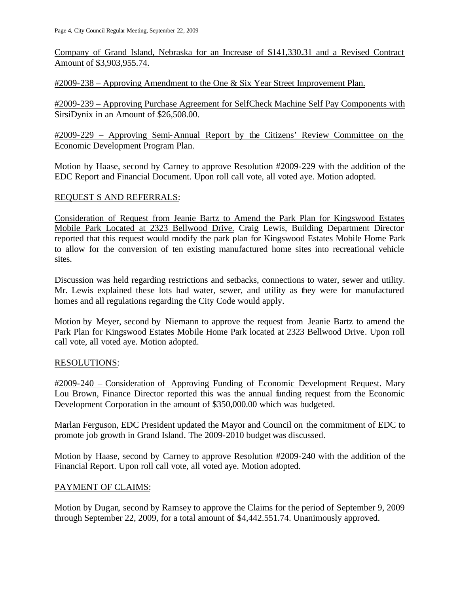Company of Grand Island, Nebraska for an Increase of \$141,330.31 and a Revised Contract Amount of \$3,903,955.74.

#2009-238 – Approving Amendment to the One & Six Year Street Improvement Plan.

#2009-239 – Approving Purchase Agreement for SelfCheck Machine Self Pay Components with SirsiDynix in an Amount of \$26,508.00.

#2009-229 – Approving Semi-Annual Report by the Citizens' Review Committee on the Economic Development Program Plan.

Motion by Haase, second by Carney to approve Resolution #2009-229 with the addition of the EDC Report and Financial Document. Upon roll call vote, all voted aye. Motion adopted.

### REQUEST S AND REFERRALS:

Consideration of Request from Jeanie Bartz to Amend the Park Plan for Kingswood Estates Mobile Park Located at 2323 Bellwood Drive. Craig Lewis, Building Department Director reported that this request would modify the park plan for Kingswood Estates Mobile Home Park to allow for the conversion of ten existing manufactured home sites into recreational vehicle sites.

Discussion was held regarding restrictions and setbacks, connections to water, sewer and utility. Mr. Lewis explained these lots had water, sewer, and utility as they were for manufactured homes and all regulations regarding the City Code would apply.

Motion by Meyer, second by Niemann to approve the request from Jeanie Bartz to amend the Park Plan for Kingswood Estates Mobile Home Park located at 2323 Bellwood Drive. Upon roll call vote, all voted aye. Motion adopted.

# RESOLUTIONS:

#2009-240 – Consideration of Approving Funding of Economic Development Request. Mary Lou Brown, Finance Director reported this was the annual funding request from the Economic Development Corporation in the amount of \$350,000.00 which was budgeted.

Marlan Ferguson, EDC President updated the Mayor and Council on the commitment of EDC to promote job growth in Grand Island. The 2009-2010 budget was discussed.

Motion by Haase, second by Carney to approve Resolution #2009-240 with the addition of the Financial Report. Upon roll call vote, all voted aye. Motion adopted.

# PAYMENT OF CLAIMS:

Motion by Dugan, second by Ramsey to approve the Claims for the period of September 9, 2009 through September 22, 2009, for a total amount of \$4,442.551.74. Unanimously approved.